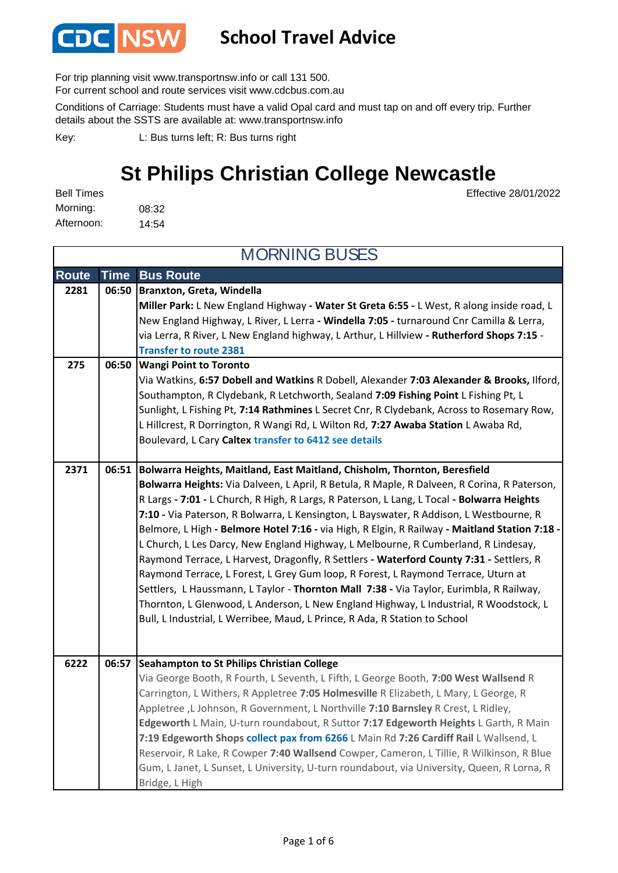

#### **School Travel Advice**

For trip planning visit www.transportnsw.info or call 131 500.

For current school and route services visit www.cdcbus.com.au

Conditions of Carriage: Students must have a valid Opal card and must tap on and off every trip. Further details about the SSTS are available at: www.transportnsw.info

L: Bus turns left; R: Bus turns right Key:

Bridge, L High

### **St Philips Christian College Newcastle**

Effective 28/01/2022

08:32 14:54 Morning: Afternoon: Bell Times

**Route Time Bus Route Branxton, Greta, Windella 2281 06:50 Miller Park:** L New England Highway **- Water St Greta 6:55 -** L West, R along inside road, L New England Highway, L River, L Lerra **- Windella 7:05 -** turnaround Cnr Camilla & Lerra, via Lerra, R River, L New England highway, L Arthur, L Hillview **- Rutherford Shops 7:15 - Transfer to route 2381 Wangi Point to Toronto 275 06:50** Via Watkins, **6:57 Dobell and Watkins** R Dobell, Alexander **7:03 Alexander & Brooks,** Ilford, Southampton, R Clydebank, R Letchworth, Sealand **7:09 Fishing Point** L Fishing Pt, L Sunlight, L Fishing Pt, **7:14 Rathmines** L Secret Cnr, R Clydebank, Across to Rosemary Row, L Hillcrest, R Dorrington, R Wangi Rd, L Wilton Rd, **7:27 Awaba Station** L Awaba Rd, Boulevard, L Cary **Caltex transfer to 6412 see details Bolwarra Heights, Maitland, East Maitland, Chisholm, Thornton, Beresfield 2371 06:51 Bolwarra Heights:** Via Dalveen, L April, R Betula, R Maple, R Dalveen, R Corina, R Paterson, R Largs **- 7:01 -** L Church, R High, R Largs, R Paterson, L Lang, L Tocal **- Bolwarra Heights 7:10 -** Via Paterson, R Bolwarra, L Kensington, L Bayswater, R Addison, L Westbourne, R Belmore, L High **- Belmore Hotel 7:16 -** via High, R Elgin, R Railway **- Maitland Station 7:18 -**  L Church, L Les Darcy, New England Highway, L Melbourne, R Cumberland, R Lindesay, Raymond Terrace, L Harvest, Dragonfly, R Settlers **- Waterford County 7:31 -** Settlers, R Raymond Terrace, L Forest, L Grey Gum loop, R Forest, L Raymond Terrace, Uturn at Settlers, L Haussmann, L Taylor - **Thornton Mall 7:38 -** Via Taylor, Eurimbla, R Railway, Thornton, L Glenwood, L Anderson, L New England Highway, L Industrial, R Woodstock, L Bull, L Industrial, L Werribee, Maud, L Prince, R Ada, R Station to School **Seahampton to St Philips Christian College 6222 06:57** Via George Booth, R Fourth, L Seventh, L Fifth, L George Booth, **7:00 West Wallsend** R Carrington, L Withers, R Appletree **7:05 Holmesville** R Elizabeth, L Mary, L George, R Appletree ,L Johnson, R Government, L Northville **7:10 Barnsley** R Crest, L Ridley, **Edgeworth** L Main, U-turn roundabout, R Suttor **7:17 Edgeworth Heights** L Garth, R Main **7:19 Edgeworth Shops collect pax from 6266** L Main Rd **7:26 Cardiff Rail** L Wallsend, L Reservoir, R Lake, R Cowper **7:40 Wallsend** Cowper, Cameron, L Tillie, R Wilkinson, R Blue Gum, L Janet, L Sunset, L University, U-turn roundabout, via University, Queen, R Lorna, R MORNING BUSES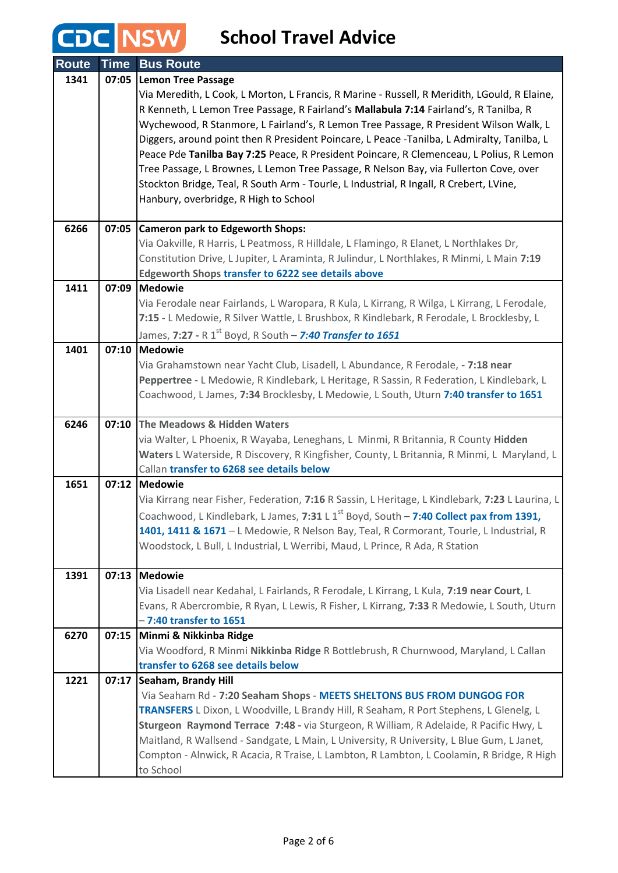## **CDC** NSW School Travel Advice

| <b>Route</b> | <b>Time</b> | <b>Bus Route</b>                                                                                                                                                             |
|--------------|-------------|------------------------------------------------------------------------------------------------------------------------------------------------------------------------------|
| 1341         | 07:05       | <b>Lemon Tree Passage</b>                                                                                                                                                    |
|              |             | Via Meredith, L Cook, L Morton, L Francis, R Marine - Russell, R Meridith, LGould, R Elaine,                                                                                 |
|              |             | R Kenneth, L Lemon Tree Passage, R Fairland's Mallabula 7:14 Fairland's, R Tanilba, R                                                                                        |
|              |             | Wychewood, R Stanmore, L Fairland's, R Lemon Tree Passage, R President Wilson Walk, L                                                                                        |
|              |             | Diggers, around point then R President Poincare, L Peace -Tanilba, L Admiralty, Tanilba, L                                                                                   |
|              |             | Peace Pde Tanilba Bay 7:25 Peace, R President Poincare, R Clemenceau, L Polius, R Lemon                                                                                      |
|              |             | Tree Passage, L Brownes, L Lemon Tree Passage, R Nelson Bay, via Fullerton Cove, over                                                                                        |
|              |             | Stockton Bridge, Teal, R South Arm - Tourle, L Industrial, R Ingall, R Crebert, LVine,<br>Hanbury, overbridge, R High to School                                              |
|              |             |                                                                                                                                                                              |
| 6266         | 07:05       | <b>Cameron park to Edgeworth Shops:</b>                                                                                                                                      |
|              |             | Via Oakville, R Harris, L Peatmoss, R Hilldale, L Flamingo, R Elanet, L Northlakes Dr,                                                                                       |
|              |             | Constitution Drive, L Jupiter, L Araminta, R Julindur, L Northlakes, R Minmi, L Main 7:19                                                                                    |
|              |             | <b>Edgeworth Shops transfer to 6222 see details above</b>                                                                                                                    |
| 1411         | 07:09       | Medowie                                                                                                                                                                      |
|              |             | Via Ferodale near Fairlands, L Waropara, R Kula, L Kirrang, R Wilga, L Kirrang, L Ferodale,                                                                                  |
|              |             | 7:15 - L Medowie, R Silver Wattle, L Brushbox, R Kindlebark, R Ferodale, L Brocklesby, L                                                                                     |
|              |             | James, 7:27 - R 1 <sup>st</sup> Boyd, R South - 7:40 Transfer to 1651                                                                                                        |
| 1401         | 07:10       | Medowie                                                                                                                                                                      |
|              |             | Via Grahamstown near Yacht Club, Lisadell, L Abundance, R Ferodale, - 7:18 near<br>Peppertree - L Medowie, R Kindlebark, L Heritage, R Sassin, R Federation, L Kindlebark, L |
|              |             | Coachwood, L James, 7:34 Brocklesby, L Medowie, L South, Uturn 7:40 transfer to 1651                                                                                         |
|              |             |                                                                                                                                                                              |
| 6246         | 07:10       | The Meadows & Hidden Waters                                                                                                                                                  |
|              |             | via Walter, L Phoenix, R Wayaba, Leneghans, L Minmi, R Britannia, R County Hidden                                                                                            |
|              |             | Waters L Waterside, R Discovery, R Kingfisher, County, L Britannia, R Minmi, L Maryland, L                                                                                   |
|              |             | Callan transfer to 6268 see details below                                                                                                                                    |
| 1651         | 07:12       | <b>Medowie</b>                                                                                                                                                               |
|              |             | Via Kirrang near Fisher, Federation, 7:16 R Sassin, L Heritage, L Kindlebark, 7:23 L Laurina, L                                                                              |
|              |             | Coachwood, L Kindlebark, L James, 7:31 L 1 <sup>st</sup> Boyd, South - 7:40 Collect pax from 1391,                                                                           |
|              |             | 1401, 1411 & 1671 - L Medowie, R Nelson Bay, Teal, R Cormorant, Tourle, L Industrial, R<br>Woodstock, L Bull, L Industrial, L Werribi, Maud, L Prince, R Ada, R Station      |
|              |             |                                                                                                                                                                              |
| 1391         |             | 07:13 Medowie                                                                                                                                                                |
|              |             | Via Lisadell near Kedahal, L Fairlands, R Ferodale, L Kirrang, L Kula, 7:19 near Court, L                                                                                    |
|              |             | Evans, R Abercrombie, R Ryan, L Lewis, R Fisher, L Kirrang, 7:33 R Medowie, L South, Uturn                                                                                   |
|              |             | $-7:40$ transfer to $1651$                                                                                                                                                   |
| 6270         | 07:15       | Minmi & Nikkinba Ridge                                                                                                                                                       |
|              |             | Via Woodford, R Minmi Nikkinba Ridge R Bottlebrush, R Churnwood, Maryland, L Callan                                                                                          |
|              |             | transfer to 6268 see details below                                                                                                                                           |
| 1221         | 07:17       | Seaham, Brandy Hill<br>Via Seaham Rd - 7:20 Seaham Shops - MEETS SHELTONS BUS FROM DUNGOG FOR                                                                                |
|              |             | TRANSFERS L Dixon, L Woodville, L Brandy Hill, R Seaham, R Port Stephens, L Glenelg, L                                                                                       |
|              |             | Sturgeon Raymond Terrace 7:48 - via Sturgeon, R William, R Adelaide, R Pacific Hwy, L                                                                                        |
|              |             | Maitland, R Wallsend - Sandgate, L Main, L University, R University, L Blue Gum, L Janet,                                                                                    |
|              |             | Compton - Alnwick, R Acacia, R Traise, L Lambton, R Lambton, L Coolamin, R Bridge, R High                                                                                    |
|              |             | to School                                                                                                                                                                    |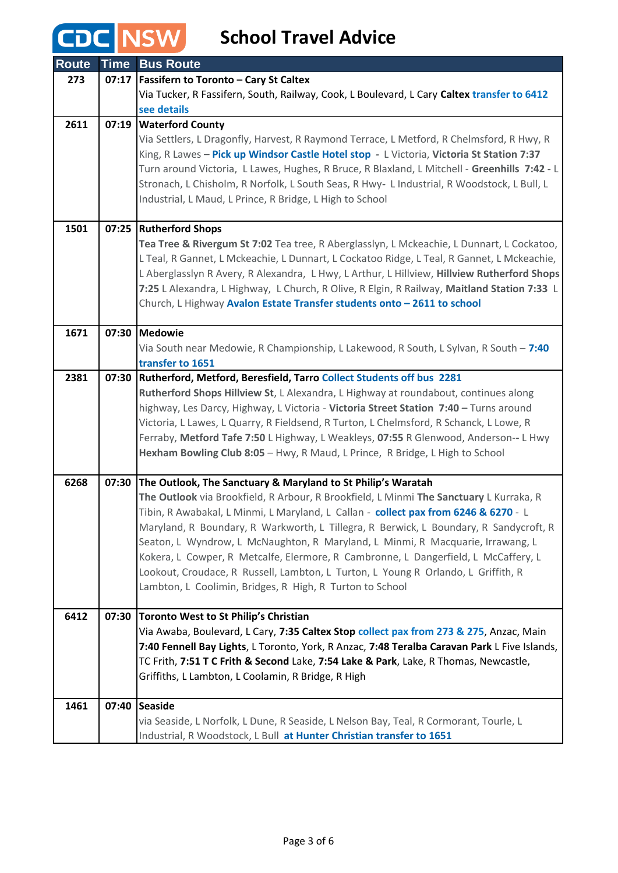## **CDC NSW**

### **School Travel Advice**

| <b>Route</b> |       | Time Bus Route                                                                               |
|--------------|-------|----------------------------------------------------------------------------------------------|
| 273          |       | 07:17   Fassifern to Toronto - Cary St Caltex                                                |
|              |       | Via Tucker, R Fassifern, South, Railway, Cook, L Boulevard, L Cary Caltex transfer to 6412   |
|              |       | see details                                                                                  |
| 2611         | 07:19 | <b>Waterford County</b>                                                                      |
|              |       | Via Settlers, L Dragonfly, Harvest, R Raymond Terrace, L Metford, R Chelmsford, R Hwy, R     |
|              |       | King, R Lawes - Pick up Windsor Castle Hotel stop - L Victoria, Victoria St Station 7:37     |
|              |       | Turn around Victoria, L Lawes, Hughes, R Bruce, R Blaxland, L Mitchell - Greenhills 7:42 - L |
|              |       | Stronach, L Chisholm, R Norfolk, L South Seas, R Hwy- L Industrial, R Woodstock, L Bull, L   |
|              |       | Industrial, L Maud, L Prince, R Bridge, L High to School                                     |
|              |       |                                                                                              |
| 1501         |       | 07:25 Rutherford Shops                                                                       |
|              |       | Tea Tree & Rivergum St 7:02 Tea tree, R Aberglasslyn, L Mckeachie, L Dunnart, L Cockatoo,    |
|              |       | L Teal, R Gannet, L Mckeachie, L Dunnart, L Cockatoo Ridge, L Teal, R Gannet, L Mckeachie,   |
|              |       | L Aberglasslyn R Avery, R Alexandra, L Hwy, L Arthur, L Hillview, Hillview Rutherford Shops  |
|              |       | 7:25 L Alexandra, L Highway, L Church, R Olive, R Elgin, R Railway, Maitland Station 7:33 L  |
|              |       | Church, L Highway Avalon Estate Transfer students onto - 2611 to school                      |
|              |       |                                                                                              |
| 1671         |       | 07:30 Medowie                                                                                |
|              |       | Via South near Medowie, R Championship, L Lakewood, R South, L Sylvan, R South - 7:40        |
|              |       | transfer to 1651                                                                             |
| 2381         |       | 07:30 Rutherford, Metford, Beresfield, Tarro Collect Students off bus 2281                   |
|              |       | Rutherford Shops Hillview St, L Alexandra, L Highway at roundabout, continues along          |
|              |       | highway, Les Darcy, Highway, L Victoria - Victoria Street Station 7:40 - Turns around        |
|              |       | Victoria, L Lawes, L Quarry, R Fieldsend, R Turton, L Chelmsford, R Schanck, L Lowe, R       |
|              |       | Ferraby, Metford Tafe 7:50 L Highway, L Weakleys, 07:55 R Glenwood, Anderson-- L Hwy         |
|              |       | Hexham Bowling Club 8:05 - Hwy, R Maud, L Prince, R Bridge, L High to School                 |
|              |       |                                                                                              |
| 6268         | 07:30 | The Outlook, The Sanctuary & Maryland to St Philip's Waratah                                 |
|              |       | The Outlook via Brookfield, R Arbour, R Brookfield, L Minmi The Sanctuary L Kurraka, R       |
|              |       | Tibin, R Awabakal, L Minmi, L Maryland, L Callan - collect pax from 6246 & 6270 - L          |
|              |       | Maryland, R Boundary, R Warkworth, L Tillegra, R Berwick, L Boundary, R Sandycroft, R        |
|              |       | Seaton, L Wyndrow, L McNaughton, R Maryland, L Minmi, R Macquarie, Irrawang, L               |
|              |       | Kokera, L Cowper, R Metcalfe, Elermore, R Cambronne, L Dangerfield, L McCaffery, L           |
|              |       | Lookout, Croudace, R Russell, Lambton, L Turton, L Young R Orlando, L Griffith, R            |
|              |       | Lambton, L Coolimin, Bridges, R High, R Turton to School                                     |
|              |       |                                                                                              |
| 6412         | 07:30 | <b>Toronto West to St Philip's Christian</b>                                                 |
|              |       | Via Awaba, Boulevard, L Cary, 7:35 Caltex Stop collect pax from 273 & 275, Anzac, Main       |
|              |       | 7:40 Fennell Bay Lights, L Toronto, York, R Anzac, 7:48 Teralba Caravan Park L Five Islands, |
|              |       | TC Frith, 7:51 T C Frith & Second Lake, 7:54 Lake & Park, Lake, R Thomas, Newcastle,         |
|              |       | Griffiths, L Lambton, L Coolamin, R Bridge, R High                                           |
|              |       |                                                                                              |
| 1461         |       | 07:40 Seaside                                                                                |
|              |       | via Seaside, L Norfolk, L Dune, R Seaside, L Nelson Bay, Teal, R Cormorant, Tourle, L        |
|              |       | Industrial, R Woodstock, L Bull at Hunter Christian transfer to 1651                         |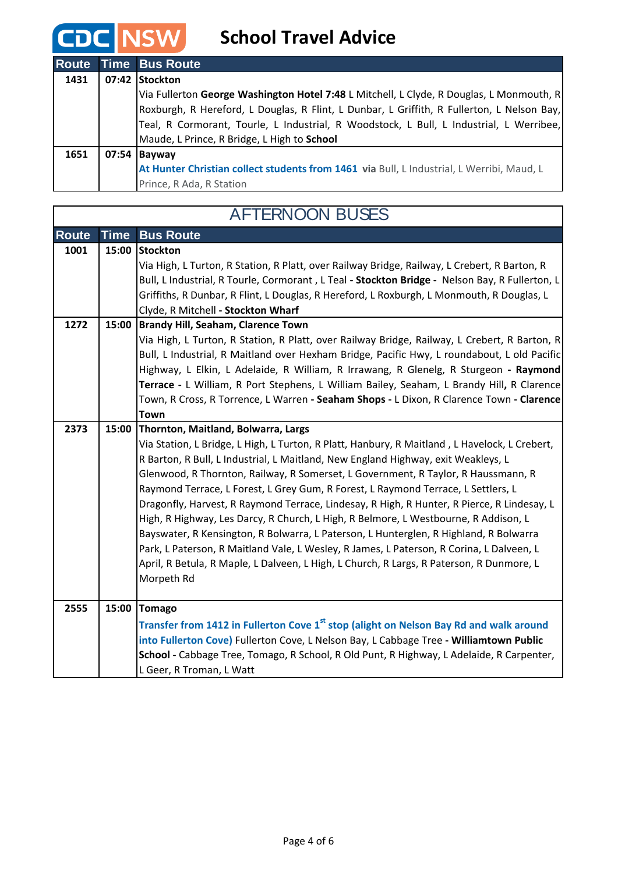**CDC NSW** 

**School Travel Advice**

|      | <b>Route Time Bus Route</b>                                                                |
|------|--------------------------------------------------------------------------------------------|
| 1431 | 07:42 Stockton                                                                             |
|      | Via Fullerton George Washington Hotel 7:48 L Mitchell, L Clyde, R Douglas, L Monmouth, R   |
|      | Roxburgh, R Hereford, L Douglas, R Flint, L Dunbar, L Griffith, R Fullerton, L Nelson Bay, |
|      | Teal, R Cormorant, Tourle, L Industrial, R Woodstock, L Bull, L Industrial, L Werribee,    |
|      | Maude, L Prince, R Bridge, L High to School                                                |
| 1651 | $07:54$ Bayway                                                                             |
|      | At Hunter Christian collect students from 1461 via Bull, L Industrial, L Werribi, Maud, L  |
|      | Prince, R Ada, R Station                                                                   |

| <b>AFTERNOON BUSES</b> |             |                                                                                                                                                                                             |
|------------------------|-------------|---------------------------------------------------------------------------------------------------------------------------------------------------------------------------------------------|
| <b>Route</b>           | <b>Time</b> | <b>Bus Route</b>                                                                                                                                                                            |
| 1001                   | 15:00       | <b>Stockton</b>                                                                                                                                                                             |
|                        |             | Via High, L Turton, R Station, R Platt, over Railway Bridge, Railway, L Crebert, R Barton, R                                                                                                |
|                        |             | Bull, L Industrial, R Tourle, Cormorant, L Teal - Stockton Bridge - Nelson Bay, R Fullerton, L<br>Griffiths, R Dunbar, R Flint, L Douglas, R Hereford, L Roxburgh, L Monmouth, R Douglas, L |
|                        |             | Clyde, R Mitchell - Stockton Wharf                                                                                                                                                          |
| 1272                   | 15:00       | <b>Brandy Hill, Seaham, Clarence Town</b>                                                                                                                                                   |
|                        |             | Via High, L Turton, R Station, R Platt, over Railway Bridge, Railway, L Crebert, R Barton, R                                                                                                |
|                        |             | Bull, L Industrial, R Maitland over Hexham Bridge, Pacific Hwy, L roundabout, L old Pacific                                                                                                 |
|                        |             | Highway, L Elkin, L Adelaide, R William, R Irrawang, R Glenelg, R Sturgeon - Raymond                                                                                                        |
|                        |             | Terrace - L William, R Port Stephens, L William Bailey, Seaham, L Brandy Hill, R Clarence<br>Town, R Cross, R Torrence, L Warren - Seaham Shops - L Dixon, R Clarence Town - Clarence       |
|                        |             | <b>Town</b>                                                                                                                                                                                 |
| 2373                   | 15:00       | Thornton, Maitland, Bolwarra, Largs                                                                                                                                                         |
|                        |             | Via Station, L Bridge, L High, L Turton, R Platt, Hanbury, R Maitland, L Havelock, L Crebert,                                                                                               |
|                        |             | R Barton, R Bull, L Industrial, L Maitland, New England Highway, exit Weakleys, L                                                                                                           |
|                        |             | Glenwood, R Thornton, Railway, R Somerset, L Government, R Taylor, R Haussmann, R                                                                                                           |
|                        |             | Raymond Terrace, L Forest, L Grey Gum, R Forest, L Raymond Terrace, L Settlers, L                                                                                                           |
|                        |             | Dragonfly, Harvest, R Raymond Terrace, Lindesay, R High, R Hunter, R Pierce, R Lindesay, L<br>High, R Highway, Les Darcy, R Church, L High, R Belmore, L Westbourne, R Addison, L           |
|                        |             | Bayswater, R Kensington, R Bolwarra, L Paterson, L Hunterglen, R Highland, R Bolwarra                                                                                                       |
|                        |             | Park, L Paterson, R Maitland Vale, L Wesley, R James, L Paterson, R Corina, L Dalveen, L                                                                                                    |
|                        |             | April, R Betula, R Maple, L Dalveen, L High, L Church, R Largs, R Paterson, R Dunmore, L                                                                                                    |
|                        |             | Morpeth Rd                                                                                                                                                                                  |
| 2555                   | 15:00       | <b>Tomago</b>                                                                                                                                                                               |
|                        |             | Transfer from 1412 in Fullerton Cove $1st$ stop (alight on Nelson Bay Rd and walk around                                                                                                    |
|                        |             | into Fullerton Cove) Fullerton Cove, L Nelson Bay, L Cabbage Tree - Williamtown Public                                                                                                      |
|                        |             | School - Cabbage Tree, Tomago, R School, R Old Punt, R Highway, L Adelaide, R Carpenter,                                                                                                    |
|                        |             | L Geer, R Troman, L Watt                                                                                                                                                                    |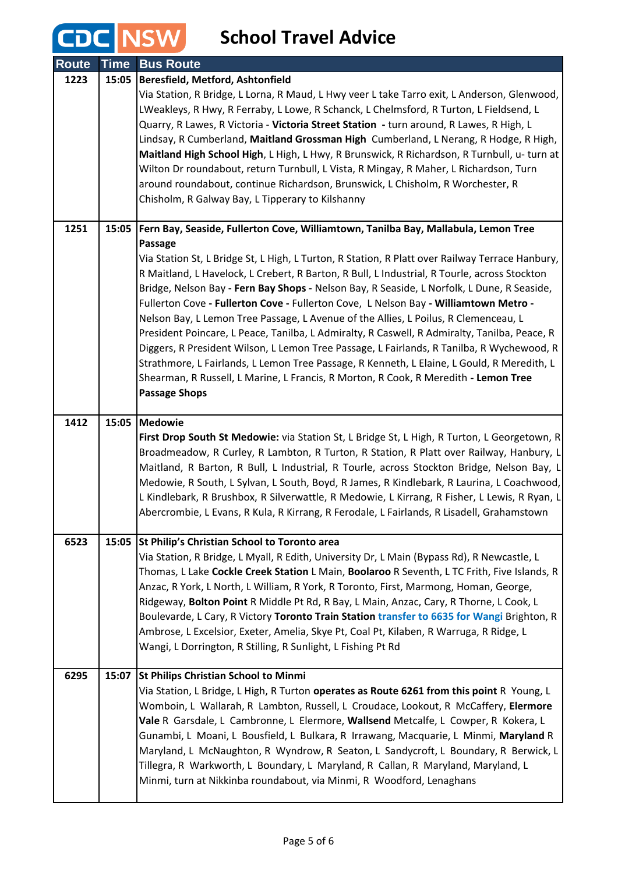## **CDC** NSW School Travel Advice

| <b>Route</b> | <b>Time</b> | <b>Bus Route</b>                                                                                                                                                                                |
|--------------|-------------|-------------------------------------------------------------------------------------------------------------------------------------------------------------------------------------------------|
| 1223         | 15:05       | Beresfield, Metford, Ashtonfield                                                                                                                                                                |
|              |             | Via Station, R Bridge, L Lorna, R Maud, L Hwy veer L take Tarro exit, L Anderson, Glenwood,                                                                                                     |
|              |             | LWeakleys, R Hwy, R Ferraby, L Lowe, R Schanck, L Chelmsford, R Turton, L Fieldsend, L                                                                                                          |
|              |             | Quarry, R Lawes, R Victoria - Victoria Street Station - turn around, R Lawes, R High, L<br>Lindsay, R Cumberland, Maitland Grossman High Cumberland, L Nerang, R Hodge, R High,                 |
|              |             | Maitland High School High, L High, L Hwy, R Brunswick, R Richardson, R Turnbull, u-turn at                                                                                                      |
|              |             | Wilton Dr roundabout, return Turnbull, L Vista, R Mingay, R Maher, L Richardson, Turn                                                                                                           |
|              |             | around roundabout, continue Richardson, Brunswick, L Chisholm, R Worchester, R                                                                                                                  |
|              |             | Chisholm, R Galway Bay, L Tipperary to Kilshanny                                                                                                                                                |
| 1251         | 15:05       | Fern Bay, Seaside, Fullerton Cove, Williamtown, Tanilba Bay, Mallabula, Lemon Tree                                                                                                              |
|              |             | <b>Passage</b>                                                                                                                                                                                  |
|              |             | Via Station St, L Bridge St, L High, L Turton, R Station, R Platt over Railway Terrace Hanbury,<br>R Maitland, L Havelock, L Crebert, R Barton, R Bull, L Industrial, R Tourle, across Stockton |
|              |             | Bridge, Nelson Bay - Fern Bay Shops - Nelson Bay, R Seaside, L Norfolk, L Dune, R Seaside,                                                                                                      |
|              |             | Fullerton Cove - Fullerton Cove - Fullerton Cove, L Nelson Bay - Williamtown Metro -                                                                                                            |
|              |             | Nelson Bay, L Lemon Tree Passage, L Avenue of the Allies, L Poilus, R Clemenceau, L                                                                                                             |
|              |             | President Poincare, L Peace, Tanilba, L Admiralty, R Caswell, R Admiralty, Tanilba, Peace, R                                                                                                    |
|              |             | Diggers, R President Wilson, L Lemon Tree Passage, L Fairlands, R Tanilba, R Wychewood, R                                                                                                       |
|              |             | Strathmore, L Fairlands, L Lemon Tree Passage, R Kenneth, L Elaine, L Gould, R Meredith, L                                                                                                      |
|              |             | Shearman, R Russell, L Marine, L Francis, R Morton, R Cook, R Meredith - Lemon Tree<br><b>Passage Shops</b>                                                                                     |
|              |             |                                                                                                                                                                                                 |
| 1412         | 15:05       | <b>Medowie</b>                                                                                                                                                                                  |
|              |             | First Drop South St Medowie: via Station St, L Bridge St, L High, R Turton, L Georgetown, R                                                                                                     |
|              |             | Broadmeadow, R Curley, R Lambton, R Turton, R Station, R Platt over Railway, Hanbury, L<br>Maitland, R Barton, R Bull, L Industrial, R Tourle, across Stockton Bridge, Nelson Bay, L            |
|              |             | Medowie, R South, L Sylvan, L South, Boyd, R James, R Kindlebark, R Laurina, L Coachwood,                                                                                                       |
|              |             | L Kindlebark, R Brushbox, R Silverwattle, R Medowie, L Kirrang, R Fisher, L Lewis, R Ryan, L                                                                                                    |
|              |             | Abercrombie, L Evans, R Kula, R Kirrang, R Ferodale, L Fairlands, R Lisadell, Grahamstown                                                                                                       |
| 6523         | 15:05       | St Philip's Christian School to Toronto area                                                                                                                                                    |
|              |             | Via Station, R Bridge, L Myall, R Edith, University Dr, L Main (Bypass Rd), R Newcastle, L                                                                                                      |
|              |             | Thomas, L Lake Cockle Creek Station L Main, Boolaroo R Seventh, L TC Frith, Five Islands, R                                                                                                     |
|              |             | Anzac, R York, L North, L William, R York, R Toronto, First, Marmong, Homan, George,                                                                                                            |
|              |             | Ridgeway, Bolton Point R Middle Pt Rd, R Bay, L Main, Anzac, Cary, R Thorne, L Cook, L                                                                                                          |
|              |             | Boulevarde, L Cary, R Victory Toronto Train Station transfer to 6635 for Wangi Brighton, R<br>Ambrose, L Excelsior, Exeter, Amelia, Skye Pt, Coal Pt, Kilaben, R Warruga, R Ridge, L            |
|              |             | Wangi, L Dorrington, R Stilling, R Sunlight, L Fishing Pt Rd                                                                                                                                    |
| 6295         | 15:07       | <b>St Philips Christian School to Minmi</b>                                                                                                                                                     |
|              |             | Via Station, L Bridge, L High, R Turton operates as Route 6261 from this point R Young, L                                                                                                       |
|              |             | Womboin, L Wallarah, R Lambton, Russell, L Croudace, Lookout, R McCaffery, Elermore                                                                                                             |
|              |             | Vale R Garsdale, L Cambronne, L Elermore, Wallsend Metcalfe, L Cowper, R Kokera, L                                                                                                              |
|              |             | Gunambi, L Moani, L Bousfield, L Bulkara, R Irrawang, Macquarie, L Minmi, Maryland R                                                                                                            |
|              |             | Maryland, L McNaughton, R Wyndrow, R Seaton, L Sandycroft, L Boundary, R Berwick, L                                                                                                             |
|              |             | Tillegra, R Warkworth, L Boundary, L Maryland, R Callan, R Maryland, Maryland, L                                                                                                                |
|              |             | Minmi, turn at Nikkinba roundabout, via Minmi, R Woodford, Lenaghans                                                                                                                            |